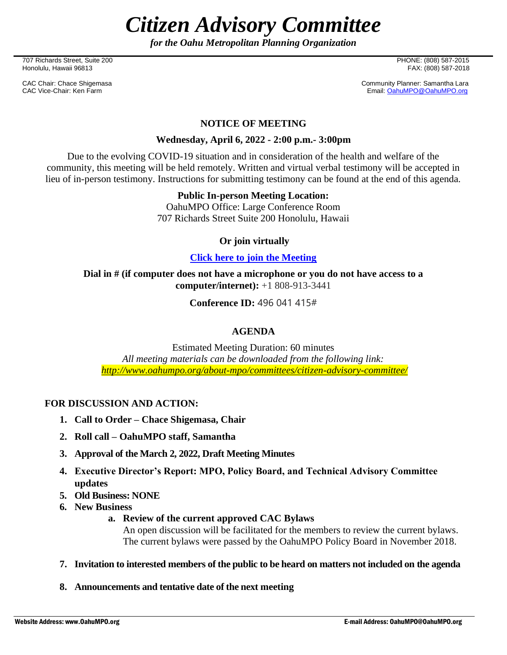*Citizen Advisory Committee*

*for the Oahu Metropolitan Planning Organization*

707 Richards Street, Suite 200 PHONE: (808) 587-2015 Honolulu, Hawaii 96813

CAC Chair: Chace Shigemasa Community Planner: Samantha Lara<br>CAC Vice-Chair: Ken Farm CAC Chair: Ken Farm CAC CAC Chair: Canal CAC Vice-Chair: Canal CAC Vice-Chair: Ken Farm Email[: OahuMPO@OahuMPO.org](mailto:OahuMPO@OahuMPO.org)

#### **NOTICE OF MEETING**

#### **Wednesday, April 6, 2022 - 2:00 p.m.- 3:00pm**

Due to the evolving COVID-19 situation and in consideration of the health and welfare of the community, this meeting will be held remotely. Written and virtual verbal testimony will be accepted in lieu of in-person testimony. Instructions for submitting testimony can be found at the end of this agenda.

#### **Public In-person Meeting Location:**

OahuMPO Office: Large Conference Room 707 Richards Street Suite 200 Honolulu, Hawaii

#### **Or join virtually**

#### **[Click here to join the Meeting](https://teams.microsoft.com/l/meetup-join/19%3ameeting_NzZhNGQxNGEtM2NmMC00NjdjLWE3NTAtMTNiNDA5ZTkwYzFk%40thread.v2/0?context=%7b%22Tid%22%3a%2217291f7f-355b-4dd1-bac5-d71ce58243c3%22%2c%22Oid%22%3a%2280434199-fbf3-4d59-bc85-42daa967f36a%22%7d)**

**Dial in # (if computer does not have a microphone or you do not have access to a computer/internet):** +1 808-913-3441

**Conference ID:** 496 041 415#

## **AGENDA**

Estimated Meeting Duration: 60 minutes *All meeting materials can be downloaded from the following link: <http://www.oahumpo.org/about-mpo/committees/citizen-advisory-committee/>*

## **FOR DISCUSSION AND ACTION:**

- **1. Call to Order – Chace Shigemasa, Chair**
- **2. Roll call – OahuMPO staff, Samantha**
- **3. Approval of the March 2, 2022, Draft Meeting Minutes**
- **4. Executive Director's Report: MPO, Policy Board, and Technical Advisory Committee updates**
- **5. Old Business: NONE**
- **6. New Business**
	- **a. Review of the current approved CAC Bylaws**

An open discussion will be facilitated for the members to review the current bylaws. The current bylaws were passed by the OahuMPO Policy Board in November 2018.

- **7. Invitation to interested members of the public to be heard on matters not included on the agenda**
- **8. Announcements and tentative date of the next meeting**